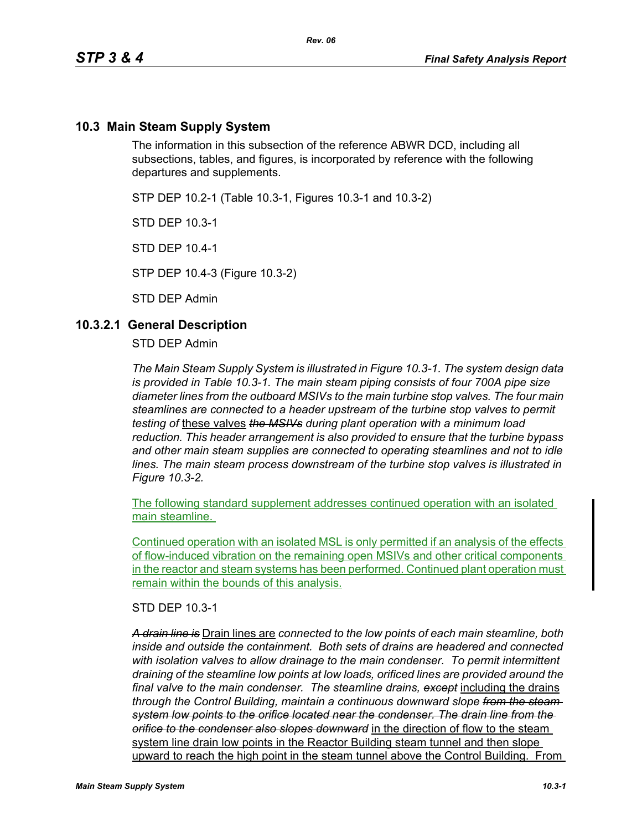### **10.3 Main Steam Supply System**

The information in this subsection of the reference ABWR DCD, including all subsections, tables, and figures, is incorporated by reference with the following departures and supplements.

STP DEP 10.2-1 (Table 10.3-1, Figures 10.3-1 and 10.3-2)

STD DEP 10.3-1

STD DEP 10.4-1

STP DEP 10.4-3 (Figure 10.3-2)

STD DEP Admin

#### **10.3.2.1 General Description**

STD DEP Admin

*The Main Steam Supply System is illustrated in Figure 10.3-1. The system design data is provided in Table 10.3-1. The main steam piping consists of four 700A pipe size diameter lines from the outboard MSIVs to the main turbine stop valves. The four main steamlines are connected to a header upstream of the turbine stop valves to permit testing of* these valves *the MSIVs during plant operation with a minimum load reduction. This header arrangement is also provided to ensure that the turbine bypass and other main steam supplies are connected to operating steamlines and not to idle lines. The main steam process downstream of the turbine stop valves is illustrated in Figure 10.3-2.*

The following standard supplement addresses continued operation with an isolated main steamline.

Continued operation with an isolated MSL is only permitted if an analysis of the effects of flow-induced vibration on the remaining open MSIVs and other critical components in the reactor and steam systems has been performed. Continued plant operation must remain within the bounds of this analysis.

STD DEP 10.3-1

*A drain line is* Drain lines are *connected to the low points of each main steamline, both inside and outside the containment. Both sets of drains are headered and connected with isolation valves to allow drainage to the main condenser. To permit intermittent draining of the steamline low points at low loads, orificed lines are provided around the final valve to the main condenser. The steamline drains, except* including the drains *through the Control Building, maintain a continuous downward slope from the steam system low points to the orifice located near the condenser. The drain line from the orifice to the condenser also slopes downward* in the direction of flow to the steam system line drain low points in the Reactor Building steam tunnel and then slope upward to reach the high point in the steam tunnel above the Control Building. From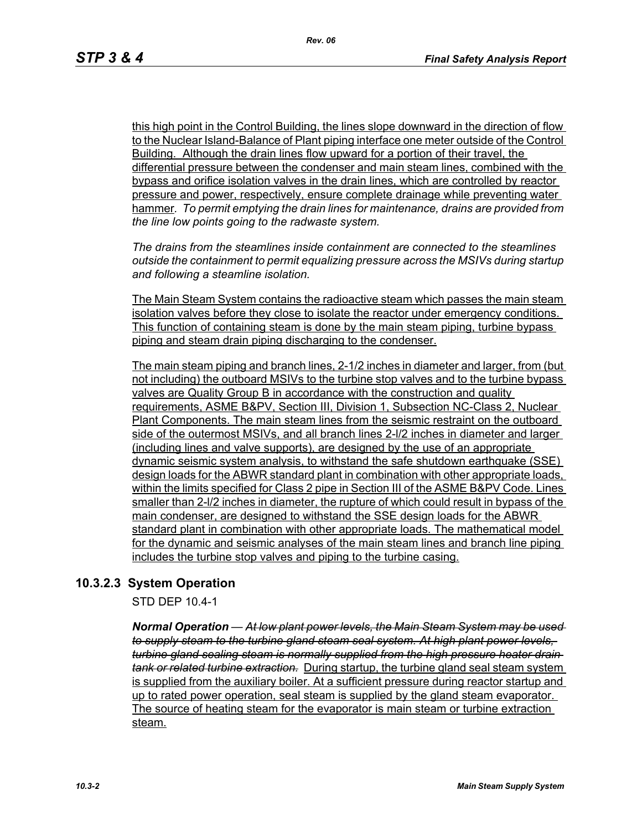this high point in the Control Building, the lines slope downward in the direction of flow to the Nuclear Island-Balance of Plant piping interface one meter outside of the Control Building. Although the drain lines flow upward for a portion of their travel, the differential pressure between the condenser and main steam lines, combined with the bypass and orifice isolation valves in the drain lines, which are controlled by reactor pressure and power, respectively, ensure complete drainage while preventing water hammer*. To permit emptying the drain lines for maintenance, drains are provided from the line low points going to the radwaste system.*

*The drains from the steamlines inside containment are connected to the steamlines outside the containment to permit equalizing pressure across the MSIVs during startup and following a steamline isolation.*

The Main Steam System contains the radioactive steam which passes the main steam isolation valves before they close to isolate the reactor under emergency conditions. This function of containing steam is done by the main steam piping, turbine bypass piping and steam drain piping discharging to the condenser.

The main steam piping and branch lines, 2-1/2 inches in diameter and larger, from (but not including) the outboard MSIVs to the turbine stop valves and to the turbine bypass valves are Quality Group B in accordance with the construction and quality requirements, ASME B&PV, Section III, Division 1, Subsection NC-Class 2, Nuclear Plant Components. The main steam lines from the seismic restraint on the outboard side of the outermost MSIVs, and all branch lines 2-l/2 inches in diameter and larger (including lines and valve supports), are designed by the use of an appropriate dynamic seismic system analysis, to withstand the safe shutdown earthquake (SSE) design loads for the ABWR standard plant in combination with other appropriate loads, within the limits specified for Class 2 pipe in Section III of the ASME B&PV Code. Lines smaller than 2-l/2 inches in diameter, the rupture of which could result in bypass of the main condenser, are designed to withstand the SSE design loads for the ABWR standard plant in combination with other appropriate loads. The mathematical model for the dynamic and seismic analyses of the main steam lines and branch line piping includes the turbine stop valves and piping to the turbine casing.

## **10.3.2.3 System Operation**

STD DEP 10.4-1

*Normal Operation — At low plant power levels, the Main Steam System may be used to supply steam to the turbine gland steam seal system. At high plant power levels, turbine gland sealing steam is normally supplied from the high pressure heater drain tank or related turbine extraction.* During startup, the turbine gland seal steam system is supplied from the auxiliary boiler. At a sufficient pressure during reactor startup and up to rated power operation, seal steam is supplied by the gland steam evaporator. The source of heating steam for the evaporator is main steam or turbine extraction steam.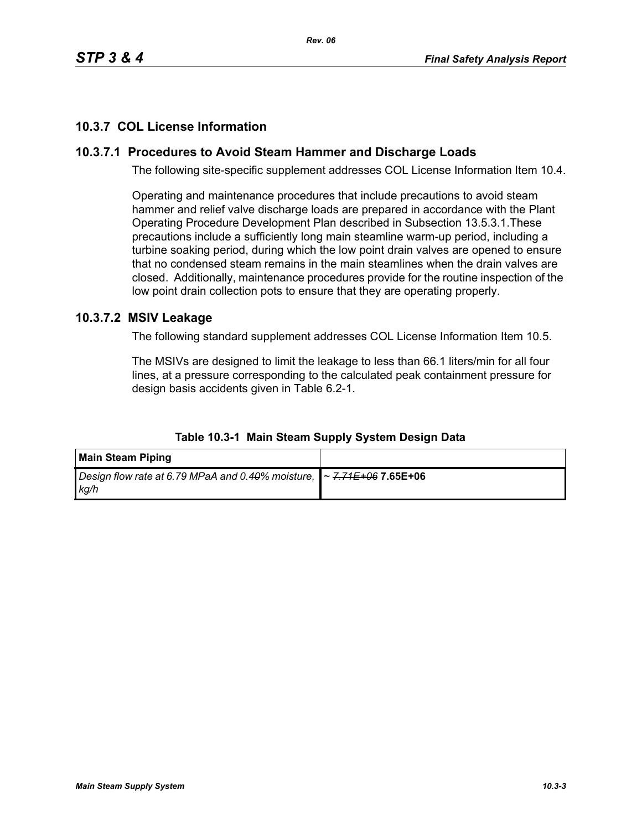# **10.3.7 COL License Information**

# **10.3.7.1 Procedures to Avoid Steam Hammer and Discharge Loads**

The following site-specific supplement addresses COL License Information Item 10.4.

Operating and maintenance procedures that include precautions to avoid steam hammer and relief valve discharge loads are prepared in accordance with the Plant Operating Procedure Development Plan described in Subsection 13.5.3.1.These precautions include a sufficiently long main steamline warm-up period, including a turbine soaking period, during which the low point drain valves are opened to ensure that no condensed steam remains in the main steamlines when the drain valves are closed. Additionally, maintenance procedures provide for the routine inspection of the low point drain collection pots to ensure that they are operating properly.

### **10.3.7.2 MSIV Leakage**

The following standard supplement addresses COL License Information Item 10.5.

The MSIVs are designed to limit the leakage to less than 66.1 liters/min for all four lines, at a pressure corresponding to the calculated peak containment pressure for design basis accidents given in Table 6.2-1.

| <b>Main Steam Piping</b>                                                             |  |
|--------------------------------------------------------------------------------------|--|
| Design flow rate at 6.79 MPaA and 0.40% moisture, $\sim$ 7.71E+06 7.65E+06<br>  ka/h |  |

**Table 10.3-1 Main Steam Supply System Design Data**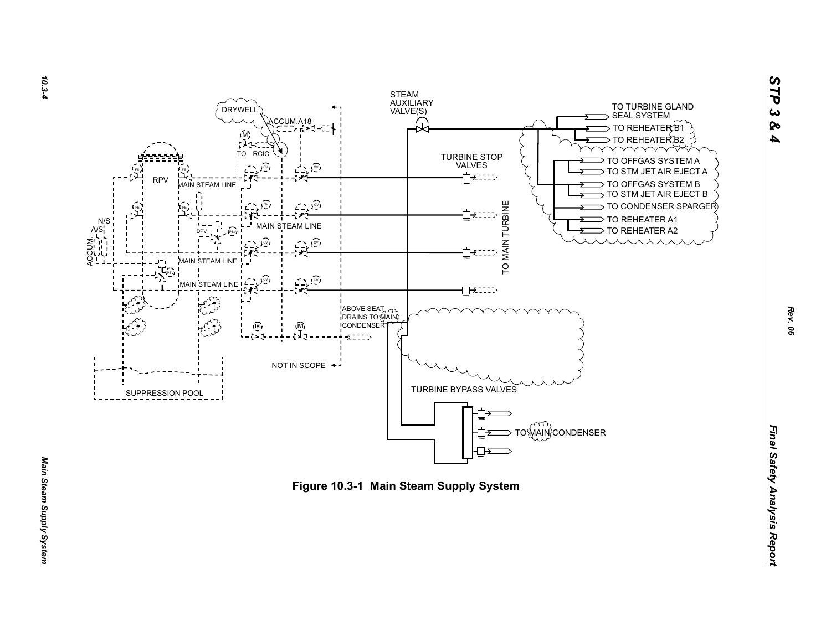



*STP 3 & 4*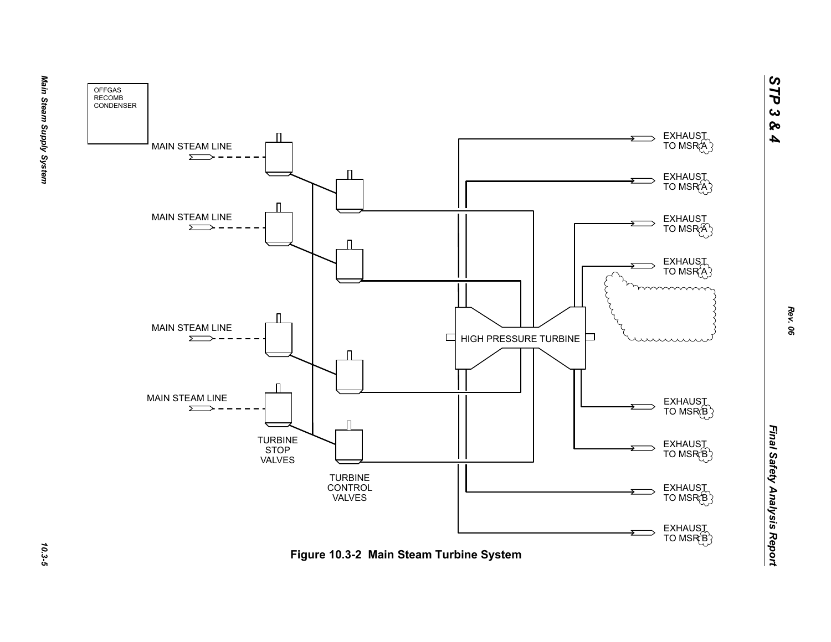



Main Steam Supply System